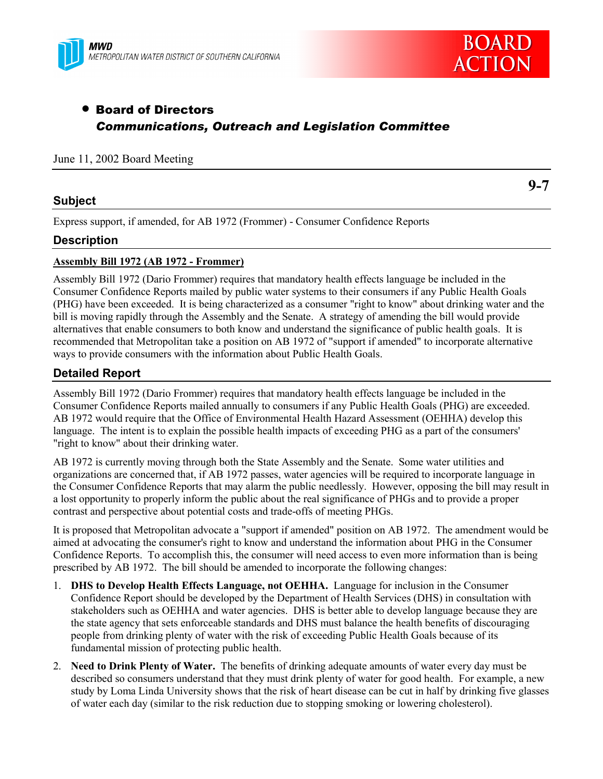



**9-7**

# • Board of Directors *Communications, Outreach and Legislation Committee*

### June 11, 2002 Board Meeting

### **Subject**

Express support, if amended, for AB 1972 (Frommer) - Consumer Confidence Reports

### **Description**

### **Assembly Bill 1972 (AB 1972 - Frommer)**

Assembly Bill 1972 (Dario Frommer) requires that mandatory health effects language be included in the Consumer Confidence Reports mailed by public water systems to their consumers if any Public Health Goals (PHG) have been exceeded. It is being characterized as a consumer "right to know" about drinking water and the bill is moving rapidly through the Assembly and the Senate. A strategy of amending the bill would provide alternatives that enable consumers to both know and understand the significance of public health goals. It is recommended that Metropolitan take a position on AB 1972 of "support if amended" to incorporate alternative ways to provide consumers with the information about Public Health Goals.

## **Detailed Report**

Assembly Bill 1972 (Dario Frommer) requires that mandatory health effects language be included in the Consumer Confidence Reports mailed annually to consumers if any Public Health Goals (PHG) are exceeded. AB 1972 would require that the Office of Environmental Health Hazard Assessment (OEHHA) develop this language. The intent is to explain the possible health impacts of exceeding PHG as a part of the consumers' "right to know" about their drinking water.

AB 1972 is currently moving through both the State Assembly and the Senate. Some water utilities and organizations are concerned that, if AB 1972 passes, water agencies will be required to incorporate language in the Consumer Confidence Reports that may alarm the public needlessly. However, opposing the bill may result in a lost opportunity to properly inform the public about the real significance of PHGs and to provide a proper contrast and perspective about potential costs and trade-offs of meeting PHGs.

It is proposed that Metropolitan advocate a "support if amended" position on AB 1972. The amendment would be aimed at advocating the consumer's right to know and understand the information about PHG in the Consumer Confidence Reports. To accomplish this, the consumer will need access to even more information than is being prescribed by AB 1972. The bill should be amended to incorporate the following changes:

- 1. **DHS to Develop Health Effects Language, not OEHHA.** Language for inclusion in the Consumer Confidence Report should be developed by the Department of Health Services (DHS) in consultation with stakeholders such as OEHHA and water agencies. DHS is better able to develop language because they are the state agency that sets enforceable standards and DHS must balance the health benefits of discouraging people from drinking plenty of water with the risk of exceeding Public Health Goals because of its fundamental mission of protecting public health.
- 2. **Need to Drink Plenty of Water.** The benefits of drinking adequate amounts of water every day must be described so consumers understand that they must drink plenty of water for good health. For example, a new study by Loma Linda University shows that the risk of heart disease can be cut in half by drinking five glasses of water each day (similar to the risk reduction due to stopping smoking or lowering cholesterol).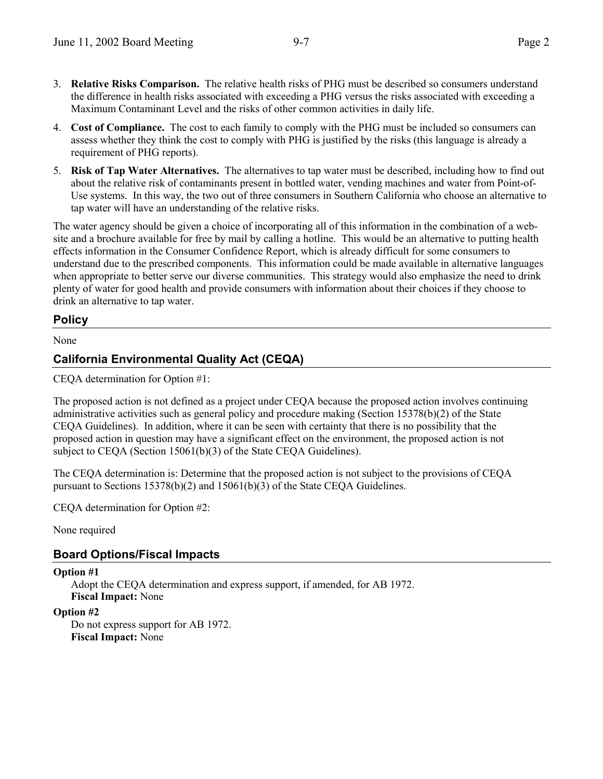- 3. **Relative Risks Comparison.** The relative health risks of PHG must be described so consumers understand the difference in health risks associated with exceeding a PHG versus the risks associated with exceeding a Maximum Contaminant Level and the risks of other common activities in daily life.
- 4. **Cost of Compliance.** The cost to each family to comply with the PHG must be included so consumers can assess whether they think the cost to comply with PHG is justified by the risks (this language is already a requirement of PHG reports).
- 5. **Risk of Tap Water Alternatives.** The alternatives to tap water must be described, including how to find out about the relative risk of contaminants present in bottled water, vending machines and water from Point-of-Use systems. In this way, the two out of three consumers in Southern California who choose an alternative to tap water will have an understanding of the relative risks.

The water agency should be given a choice of incorporating all of this information in the combination of a website and a brochure available for free by mail by calling a hotline. This would be an alternative to putting health effects information in the Consumer Confidence Report, which is already difficult for some consumers to understand due to the prescribed components. This information could be made available in alternative languages when appropriate to better serve our diverse communities. This strategy would also emphasize the need to drink plenty of water for good health and provide consumers with information about their choices if they choose to drink an alternative to tap water.

## **Policy**

None

## **California Environmental Quality Act (CEQA)**

CEQA determination for Option #1:

The proposed action is not defined as a project under CEQA because the proposed action involves continuing administrative activities such as general policy and procedure making (Section 15378(b)(2) of the State CEQA Guidelines). In addition, where it can be seen with certainty that there is no possibility that the proposed action in question may have a significant effect on the environment, the proposed action is not subject to CEQA (Section 15061(b)(3) of the State CEQA Guidelines).

The CEQA determination is: Determine that the proposed action is not subject to the provisions of CEQA pursuant to Sections 15378(b)(2) and 15061(b)(3) of the State CEQA Guidelines.

CEQA determination for Option #2:

None required

## **Board Options/Fiscal Impacts**

### **Option #1**

Adopt the CEQA determination and express support, if amended, for AB 1972. **Fiscal Impact:** None

### **Option #2**

Do not express support for AB 1972. **Fiscal Impact:** None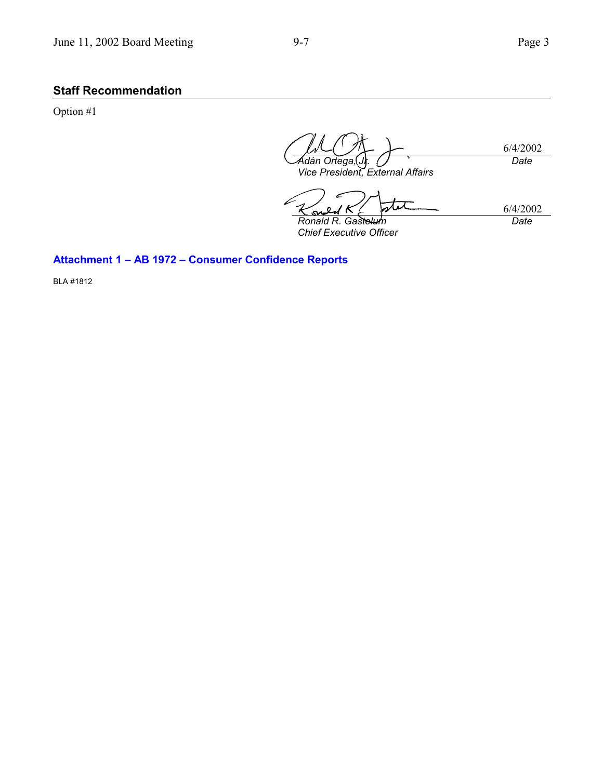# **Staff Recommendation**

Option #1

6/4/2002 *Adán Ortega,*(J**r**. *Vice President, External Affairs Date*

stet 6/4/2002 *Ronald R. Gastelum Date*

*Chief Executive Officer*

## Attachment 1 - AB 1972 - Consumer Confidence Reports

BLA #1812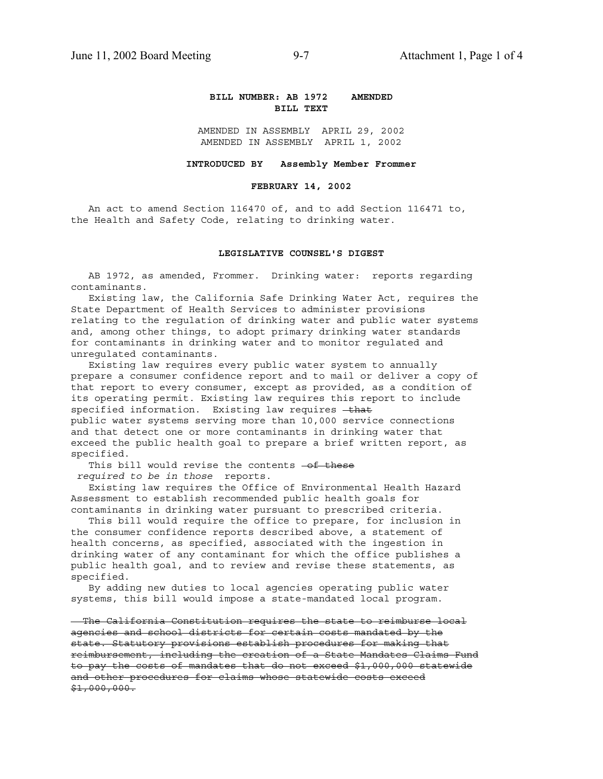### **BILL NUMBER: AB 1972 AMENDED BILL TEXT**

AMENDED IN ASSEMBLY APRIL 29, 2002 AMENDED IN ASSEMBLY APRIL 1, 2002

#### **INTRODUCED BY Assembly Member Frommer**

#### **FEBRUARY 14, 2002**

 An act to amend Section 116470 of, and to add Section 116471 to, the Health and Safety Code, relating to drinking water.

#### **LEGISLATIVE COUNSEL'S DIGEST**

 AB 1972, as amended, Frommer. Drinking water: reports regarding contaminants.

 Existing law, the California Safe Drinking Water Act, requires the State Department of Health Services to administer provisions relating to the regulation of drinking water and public water systems and, among other things, to adopt primary drinking water standards for contaminants in drinking water and to monitor regulated and unregulated contaminants.

 Existing law requires every public water system to annually prepare a consumer confidence report and to mail or deliver a copy of that report to every consumer, except as provided, as a condition of its operating permit. Existing law requires this report to include specified information. Existing law requires - that public water systems serving more than 10,000 service connections and that detect one or more contaminants in drinking water that exceed the public health goal to prepare a brief written report, as specified.

This bill would revise the contents -of these  *required to be in those* reports.

 Existing law requires the Office of Environmental Health Hazard Assessment to establish recommended public health goals for contaminants in drinking water pursuant to prescribed criteria.

 This bill would require the office to prepare, for inclusion in the consumer confidence reports described above, a statement of health concerns, as specified, associated with the ingestion in drinking water of any contaminant for which the office publishes a public health goal, and to review and revise these statements, as specified.

 By adding new duties to local agencies operating public water systems, this bill would impose a state-mandated local program.

 The California Constitution requires the state to reimburse local agencies and school districts for certain costs mandated by the state. Statutory provisions establish procedures for making that reimbursement, including the creation of a State Mandates Claims Fund to pay the costs of mandates that do not exceed \$1,000,000 statewide and other procedures for claims whose statewide costs exceed  $$1,000,000.$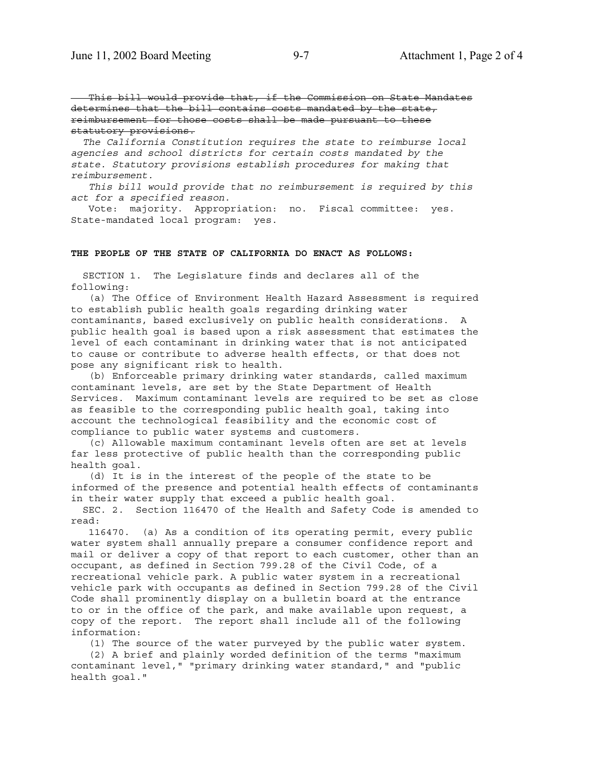This bill would provide that, if the Commission on State Mandates determines that the bill contains costs mandated by the state, reimbursement for those costs shall be made pursuant to these statutory provisions.

 *The California Constitution requires the state to reimburse local agencies and school districts for certain costs mandated by the state. Statutory provisions establish procedures for making that reimbursement.*

 *This bill would provide that no reimbursement is required by this act for a specified reason.*

 Vote: majority. Appropriation: no. Fiscal committee: yes. State-mandated local program: yes.

#### **THE PEOPLE OF THE STATE OF CALIFORNIA DO ENACT AS FOLLOWS:**

 SECTION 1. The Legislature finds and declares all of the following:

 (a) The Office of Environment Health Hazard Assessment is required to establish public health goals regarding drinking water contaminants, based exclusively on public health considerations. A public health goal is based upon a risk assessment that estimates the level of each contaminant in drinking water that is not anticipated to cause or contribute to adverse health effects, or that does not pose any significant risk to health.

 (b) Enforceable primary drinking water standards, called maximum contaminant levels, are set by the State Department of Health Services. Maximum contaminant levels are required to be set as close as feasible to the corresponding public health goal, taking into account the technological feasibility and the economic cost of compliance to public water systems and customers.

 (c) Allowable maximum contaminant levels often are set at levels far less protective of public health than the corresponding public health goal.

 (d) It is in the interest of the people of the state to be informed of the presence and potential health effects of contaminants in their water supply that exceed a public health goal.

 SEC. 2. Section 116470 of the Health and Safety Code is amended to read:

 116470. (a) As a condition of its operating permit, every public water system shall annually prepare a consumer confidence report and mail or deliver a copy of that report to each customer, other than an occupant, as defined in Section 799.28 of the Civil Code, of a recreational vehicle park. A public water system in a recreational vehicle park with occupants as defined in Section 799.28 of the Civil Code shall prominently display on a bulletin board at the entrance to or in the office of the park, and make available upon request, a copy of the report. The report shall include all of the following information:

(1) The source of the water purveyed by the public water system.

 (2) A brief and plainly worded definition of the terms "maximum contaminant level," "primary drinking water standard," and "public health goal."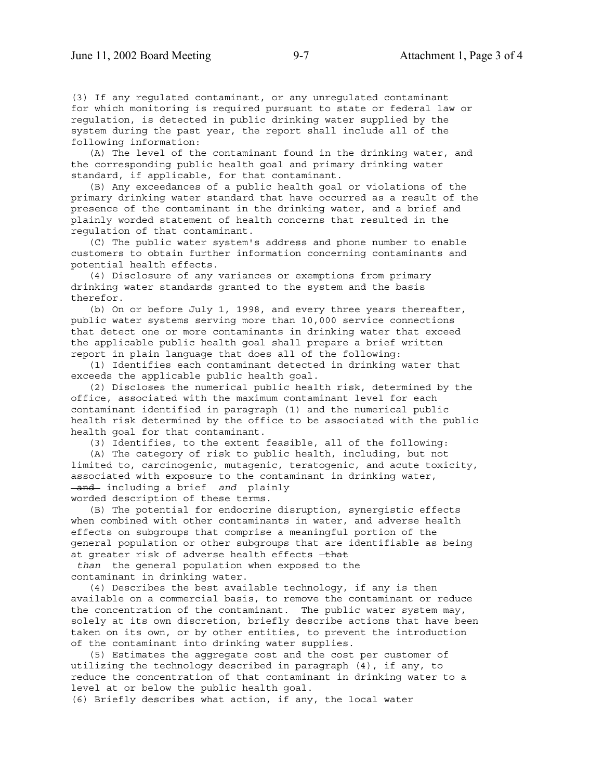(3) If any regulated contaminant, or any unregulated contaminant for which monitoring is required pursuant to state or federal law or regulation, is detected in public drinking water supplied by the system during the past year, the report shall include all of the following information:

 (A) The level of the contaminant found in the drinking water, and the corresponding public health goal and primary drinking water standard, if applicable, for that contaminant.

 (B) Any exceedances of a public health goal or violations of the primary drinking water standard that have occurred as a result of the presence of the contaminant in the drinking water, and a brief and plainly worded statement of health concerns that resulted in the regulation of that contaminant.

 (C) The public water system's address and phone number to enable customers to obtain further information concerning contaminants and potential health effects.

 (4) Disclosure of any variances or exemptions from primary drinking water standards granted to the system and the basis therefor.

 (b) On or before July 1, 1998, and every three years thereafter, public water systems serving more than 10,000 service connections that detect one or more contaminants in drinking water that exceed the applicable public health goal shall prepare a brief written report in plain language that does all of the following:

 (1) Identifies each contaminant detected in drinking water that exceeds the applicable public health goal.

 (2) Discloses the numerical public health risk, determined by the office, associated with the maximum contaminant level for each contaminant identified in paragraph (1) and the numerical public health risk determined by the office to be associated with the public health goal for that contaminant.

(3) Identifies, to the extent feasible, all of the following:

 (A) The category of risk to public health, including, but not limited to, carcinogenic, mutagenic, teratogenic, and acute toxicity, associated with exposure to the contaminant in drinking water, and including a brief *and* plainly worded description of these terms.

 (B) The potential for endocrine disruption, synergistic effects when combined with other contaminants in water, and adverse health effects on subgroups that comprise a meaningful portion of the general population or other subgroups that are identifiable as being at greater risk of adverse health effects -that

 *than* the general population when exposed to the contaminant in drinking water.

 (4) Describes the best available technology, if any is then available on a commercial basis, to remove the contaminant or reduce the concentration of the contaminant. The public water system may, solely at its own discretion, briefly describe actions that have been taken on its own, or by other entities, to prevent the introduction of the contaminant into drinking water supplies.

 (5) Estimates the aggregate cost and the cost per customer of utilizing the technology described in paragraph (4), if any, to reduce the concentration of that contaminant in drinking water to a level at or below the public health goal.

(6) Briefly describes what action, if any, the local water